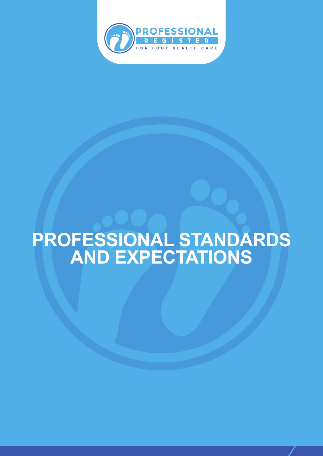

# **PROFESSIONAL STANDARDS AND EXPECTATIONS**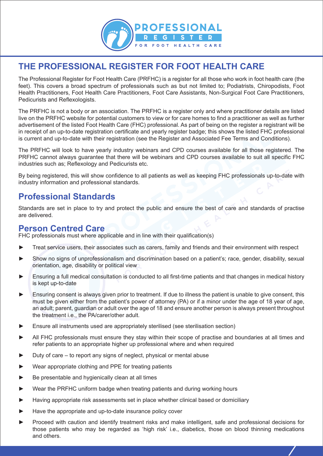

# **THE PROFESSIONAL REGISTER FOR FOOT HEALTH CARE**

The Professional Register for Foot Health Care (PRFHC) is a register for all those who work in foot health care (the feet). This covers a broad spectrum of professionals such as but not limited to; Podiatrists, Chiropodists, Foot Health Practitioners, Foot Health Care Practitioners, Foot Care Assistants, Non-Surgical Foot Care Practitioners, Pedicurists and Reflexologists.

The PRFHC is not a body or an association. The PRFHC is a register only and where practitioner details are listed live on the PRFHC website for potential customers to view or for care homes to find a practitioner as well as further advertisement of the listed Foot Health Care (FHC) professional. As part of being on the register a registrant will be in receipt of an up-to-date registration certificate and yearly register badge; this shows the listed FHC professional is current and up-to-date with their registration (see the Register and Associated Fee Terms and Conditions).

The PRFHC will look to have yearly industry webinars and CPD courses available for all those registered. The PRFHC cannot always guarantee that there will be webinars and CPD courses available to suit all specific FHC industries such as; Reflexology and Pedicurists etc.

By being registered, this will show confidence to all patients as well as keeping FHC professionals up-to-date with industry information and professional standards.

#### **Professional Standards**

Standards are set in place to try and protect the public and ensure the best of care and standards of practise are delivered.

#### **Person Centred Care**

FHC professionals must where applicable and in line with their qualification(s)

- Treat service users, their associates such as carers, family and friends and their environment with respect
- Show no signs of unprofessionalism and discrimination based on a patient's; race, gender, disability, sexual orientation, age, disability or political view
- Ensuring a full medical consultation is conducted to all first-time patients and that changes in medical history is kept up-to-date
- Ensuring consent is always given prior to treatment. If due to illness the patient is unable to give consent, this must be given either from the patient's power of attorney (PA) or if a minor under the age of 18 year of age, an adult; parent, guardian or adult over the age of 18 and ensure another person is always present throughout the treatment i.e., the PA/carer/other adult.
- Ensure all instruments used are appropriately sterilised (see sterilisation section)
- All FHC professionals must ensure they stay within their scope of practise and boundaries at all times and refer patients to an appropriate higher up professional where and when required
- Duty of care to report any signs of neglect, physical or mental abuse
- Wear appropriate clothing and PPE for treating patients
- Be presentable and hygienically clean at all times
- Wear the PRFHC uniform badge when treating patients and during working hours
- Having appropriate risk assessments set in place whether clinical based or domiciliary
- Have the appropriate and up-to-date insurance policy cover
- Proceed with caution and identify treatment risks and make intelligent, safe and professional decisions for those patients who may be regarded as 'high risk' i.e., diabetics, those on blood thinning medications and others.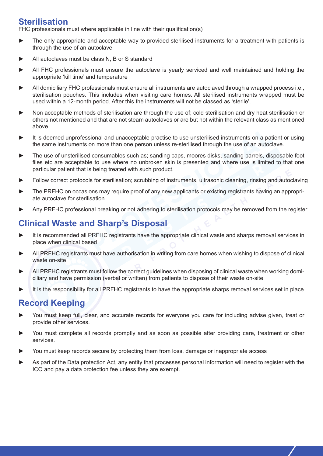#### **Sterilisation**

FHC professionals must where applicable in line with their qualification(s)

- The only appropriate and acceptable way to provided sterilised instruments for a treatment with patients is through the use of an autoclave
- All autoclaves must be class N, B or S standard
- All FHC professionals must ensure the autoclave is yearly serviced and well maintained and holding the appropriate 'kill time' and temperature
- All domiciliary FHC professionals must ensure all instruments are autoclaved through a wrapped process i.e., sterilisation pouches. This includes when visiting care homes. All sterilised instruments wrapped must be used within a 12-month period. After this the instruments will not be classed as 'sterile'.
- Non acceptable methods of sterilisation are through the use of; cold sterilisation and dry heat sterilisation or others not mentioned and that are not steam autoclaves or are but not within the relevant class as mentioned above.
- It is deemed unprofessional and unacceptable practise to use unsterilised instruments on a patient or using the same instruments on more than one person unless re-sterilised through the use of an autoclave.
- The use of unsterilised consumables such as; sanding caps, moores disks, sanding barrels, disposable foot files etc are acceptable to use where no unbroken skin is presented and where use is limited to that one particular patient that is being treated with such product.
- Follow correct protocols for sterilisation; scrubbing of instruments, ultrasonic cleaning, rinsing and autoclaving
- The PRFHC on occasions may require proof of any new applicants or existing registrants having an appropriate autoclave for sterilisation
- Any PRFHC professional breaking or not adhering to sterilisation protocols may be removed from the register

# **Clinical Waste and Sharp's Disposal**

- It is recommended all PRFHC registrants have the appropriate clinical waste and sharps removal services in place when clinical based
- ► All PRFHC registrants must have authorisation in writing from care homes when wishing to dispose of clinical waste on-site
- All PRFHC registrants must follow the correct guidelines when disposing of clinical waste when working domiciliary and have permission (verbal or written) from patients to dispose of their waste on-site
- It is the responsibility for all PRFHC registrants to have the appropriate sharps removal services set in place

# **Record Keeping**

- You must keep full, clear, and accurate records for everyone you care for including advise given, treat or provide other services.
- You must complete all records promptly and as soon as possible after providing care, treatment or other services.
- You must keep records secure by protecting them from loss, damage or inappropriate access
- As part of the Data protection Act, any entity that processes personal information will need to register with the ICO and pay a data protection fee unless they are exempt.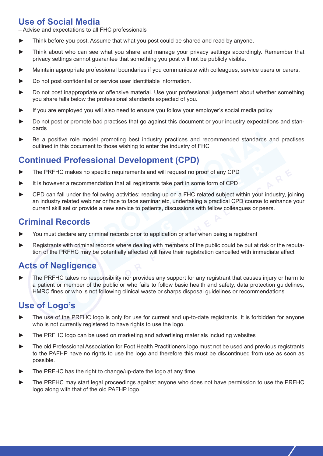# **Use of Social Media**

– Advise and expectations to all FHC professionals

- Think before you post. Assume that what you post could be shared and read by anyone.
- Think about who can see what you share and manage your privacy settings accordingly. Remember that privacy settings cannot guarantee that something you post will not be publicly visible.
- Maintain appropriate professional boundaries if you communicate with colleagues, service users or carers.
- Do not post confidential or service user identifiable information.
- Do not post inappropriate or offensive material. Use your professional judgement about whether something you share falls below the professional standards expected of you.
- If you are employed you will also need to ensure you follow your employer's social media policy
- Do not post or promote bad practises that go against this document or your industry expectations and standards
- Be a positive role model promoting best industry practices and recommended standards and practises outlined in this document to those wishing to enter the industry of FHC

### **Continued Professional Development (CPD)**

- The PRFHC makes no specific requirements and will request no proof of any CPD
- It is however a recommendation that all registrants take part in some form of CPD
- ► CPD can fall under the following activities; reading up on a FHC related subject within your industry, joining an industry related webinar or face to face seminar etc, undertaking a practical CPD course to enhance your current skill set or provide a new service to patients, discussions with fellow colleagues or peers.

#### **Criminal Records**

- You must declare any criminal records prior to application or after when being a registrant
- Registrants with criminal records where dealing with members of the public could be put at risk or the reputation of the PRFHC may be potentially affected will have their registration cancelled with immediate affect

# **Acts of Negligence**

The PRFHC takes no responsibility nor provides any support for any registrant that causes injury or harm to a patient or member of the public or who fails to follow basic health and safety, data protection guidelines, HMRC fines or who is not following clinical waste or sharps disposal guidelines or recommendations

#### **Use of Logo's**

- The use of the PRFHC logo is only for use for current and up-to-date registrants. It is forbidden for anyone who is not currently registered to have rights to use the logo.
- The PRFHC logo can be used on marketing and advertising materials including websites
- The old Professional Association for Foot Health Practitioners logo must not be used and previous registrants to the PAFHP have no rights to use the logo and therefore this must be discontinued from use as soon as possible.
- The PRFHC has the right to change/up-date the logo at any time
- The PRFHC may start legal proceedings against anyone who does not have permission to use the PRFHC logo along with that of the old PAFHP logo.